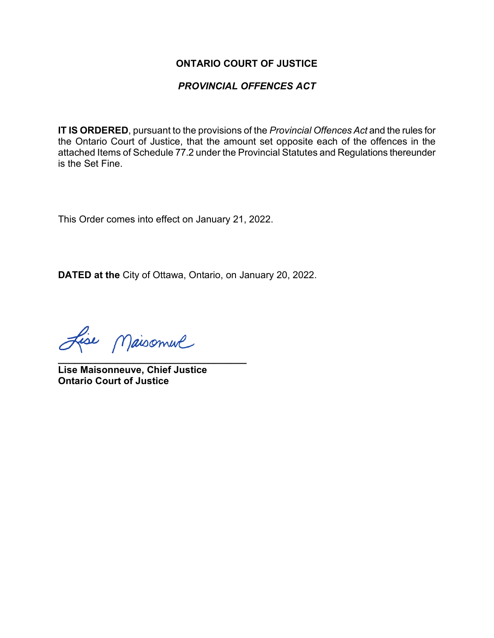#### **ONTARIO COURT OF JUSTICE**

### *PROVINCIAL OFFENCES ACT*

**IT IS ORDERED**, pursuant to the provisions of the *Provincial Offences Act* and the rules for the Ontario Court of Justice, that the amount set opposite each of the offences in the attached Items of Schedule 77.2 under the Provincial Statutes and Regulations thereunder is the Set Fine.

This Order comes into effect on January 21, 2022.

**DATED at the** City of Ottawa, Ontario, on January 20, 2022.

Lise Maisonnel

**\_\_\_\_\_\_\_\_\_\_\_\_\_\_\_\_\_\_\_\_\_\_\_\_\_\_\_\_\_\_\_\_\_\_\_ Lise Maisonneuve, Chief Justice Ontario Court of Justice**